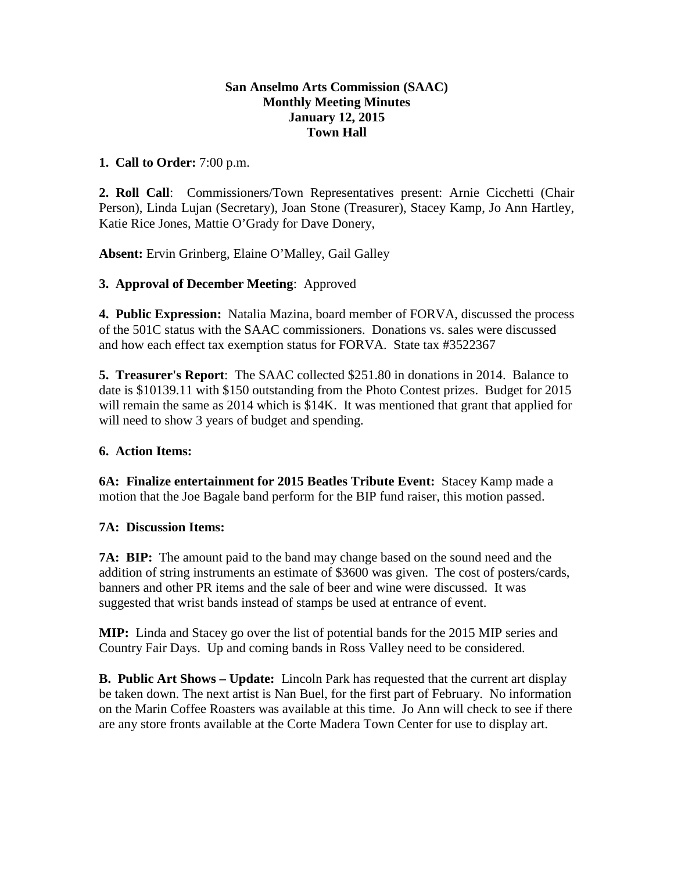## **San Anselmo Arts Commission (SAAC) Monthly Meeting Minutes January 12, 2015 Town Hall**

## **1. Call to Order:** 7:00 p.m.

**2. Roll Call**: Commissioners/Town Representatives present: Arnie Cicchetti (Chair Person), Linda Lujan (Secretary), Joan Stone (Treasurer), Stacey Kamp, Jo Ann Hartley, Katie Rice Jones, Mattie O'Grady for Dave Donery,

**Absent:** Ervin Grinberg, Elaine O'Malley, Gail Galley

### **3. Approval of December Meeting**: Approved

**4. Public Expression:** Natalia Mazina, board member of FORVA, discussed the process of the 501C status with the SAAC commissioners. Donations vs. sales were discussed and how each effect tax exemption status for FORVA. State tax #3522367

**5. Treasurer's Report**: The SAAC collected \$251.80 in donations in 2014. Balance to date is \$10139.11 with \$150 outstanding from the Photo Contest prizes. Budget for 2015 will remain the same as 2014 which is \$14K. It was mentioned that grant that applied for will need to show 3 years of budget and spending.

# **6. Action Items:**

**6A: Finalize entertainment for 2015 Beatles Tribute Event:** Stacey Kamp made a motion that the Joe Bagale band perform for the BIP fund raiser, this motion passed.

# **7A: Discussion Items:**

**7A: BIP:** The amount paid to the band may change based on the sound need and the addition of string instruments an estimate of \$3600 was given. The cost of posters/cards, banners and other PR items and the sale of beer and wine were discussed. It was suggested that wrist bands instead of stamps be used at entrance of event.

**MIP:** Linda and Stacey go over the list of potential bands for the 2015 MIP series and Country Fair Days. Up and coming bands in Ross Valley need to be considered.

**B. Public Art Shows – Update:** Lincoln Park has requested that the current art display be taken down. The next artist is Nan Buel, for the first part of February. No information on the Marin Coffee Roasters was available at this time. Jo Ann will check to see if there are any store fronts available at the Corte Madera Town Center for use to display art.